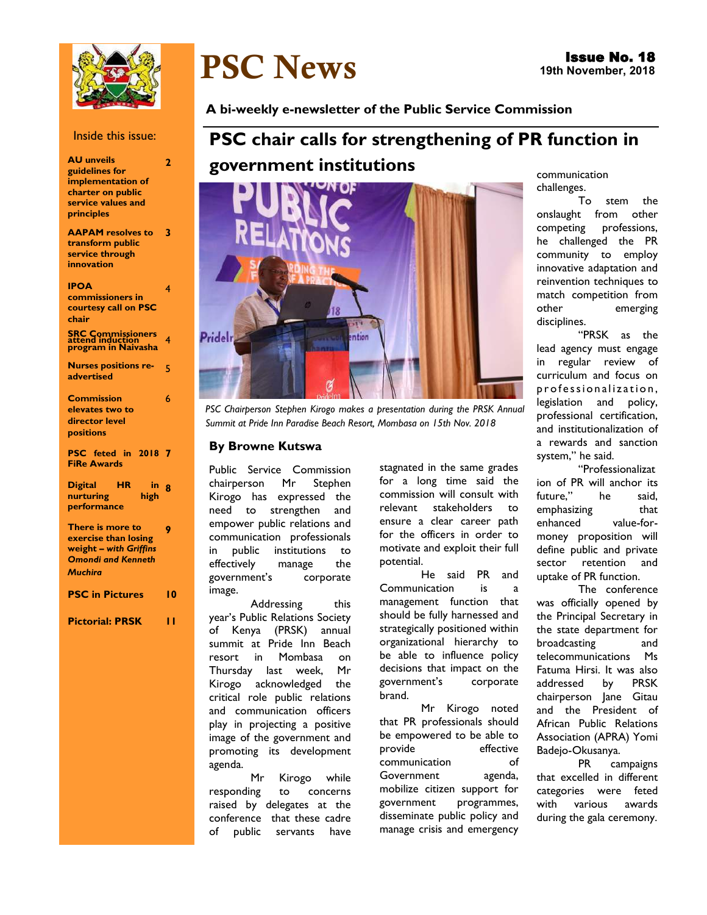

#### Inside this issue:

| <b>AU unveils</b><br>guidelines for<br>implementation of<br>charter on public<br>service values and<br>principles | $\overline{2}$ |
|-------------------------------------------------------------------------------------------------------------------|----------------|
| <b>AAPAM</b> resolves to<br>transform public<br>service through<br>innovation                                     | 3              |
| <b>IPOA</b><br>commissioners in<br>courtesy call on PSC<br>chair                                                  | 4              |
| SRC Commissioners<br>attend induction<br>program in Naivasha                                                      | 4              |
| <b>Nurses positions re-</b><br>advertised                                                                         | 5              |
| Commission<br>elevates two to<br>director level<br>positions                                                      | 6              |
| PSC feted in 2018<br><b>FiRe Awards</b>                                                                           |                |
| <b>Digital</b><br>ΗR<br>in<br>nurturing<br>high<br>performance                                                    | ឧ              |
| There is more to<br>exercise than losing<br>weight - with Griffins<br><b>Omondi and Kenneth</b><br><b>Muchira</b> | 9              |
| <b>PSC</b> in Pictures                                                                                            | 10             |
| <b>Pictorial: PRSK</b>                                                                                            | н              |

# PSC News

**A bi-weekly e-newsletter of the Public Service Commission** 

# **PSC chair calls for strengthening of PR function in government institutions**



**PSC Chairperson Stephen Kirogo makes a presentation during the PRSK Annual** *Summit at Pride Inn Paradise Beach Resort, Mombasa on 15th Nov. 2018*

#### **By Browne Kutswa**

Public Service Commission chairperson Mr Stephen Kirogo has expressed the need to strengthen and empower public relations and communication professionals in public institutions to effectively manage the government's corporate image.

Addressing this year's Public Relations Society of Kenya (PRSK) annual summit at Pride Inn Beach resort in Mombasa on Thursday last week, Mr Kirogo acknowledged the critical role public relations and communication officers play in projecting a positive image of the government and promoting its development agenda.

Mr Kirogo while responding to concerns raised by delegates at the conference that these cadre of public servants have

stagnated in the same grades for a long time said the commission will consult with relevant stakeholders to ensure a clear career path for the officers in order to motivate and exploit their full potential.

He said PR and Communication is a management function that should be fully harnessed and strategically positioned within organizational hierarchy to be able to influence policy decisions that impact on the government's corporate brand.

Mr Kirogo noted that PR professionals should be empowered to be able to provide effective communication of Government agenda, mobilize citizen support for government programmes, disseminate public policy and manage crisis and emergency

communication challenges.

To stem the onslaught from other competing professions, he challenged the PR community to employ innovative adaptation and reinvention techniques to match competition from other emerging disciplines.

"PRSK as the lead agency must engage in regular review of curriculum and focus on professionalization, legislation and policy, professional certification, and institutionalization of a rewards and sanction system," he said.

"Professionalizat ion of PR will anchor its future," he said, emphasizing that enhanced value-formoney proposition will define public and private sector retention and uptake of PR function.

The conference was officially opened by the Principal Secretary in the state department for broadcasting and telecommunications Ms Fatuma Hirsi. It was also addressed by PRSK chairperson Jane Gitau and the President of African Public Relations Association (APRA) Yomi Badejo-Okusanya.

PR campaigns that excelled in different categories were feted with various awards during the gala ceremony.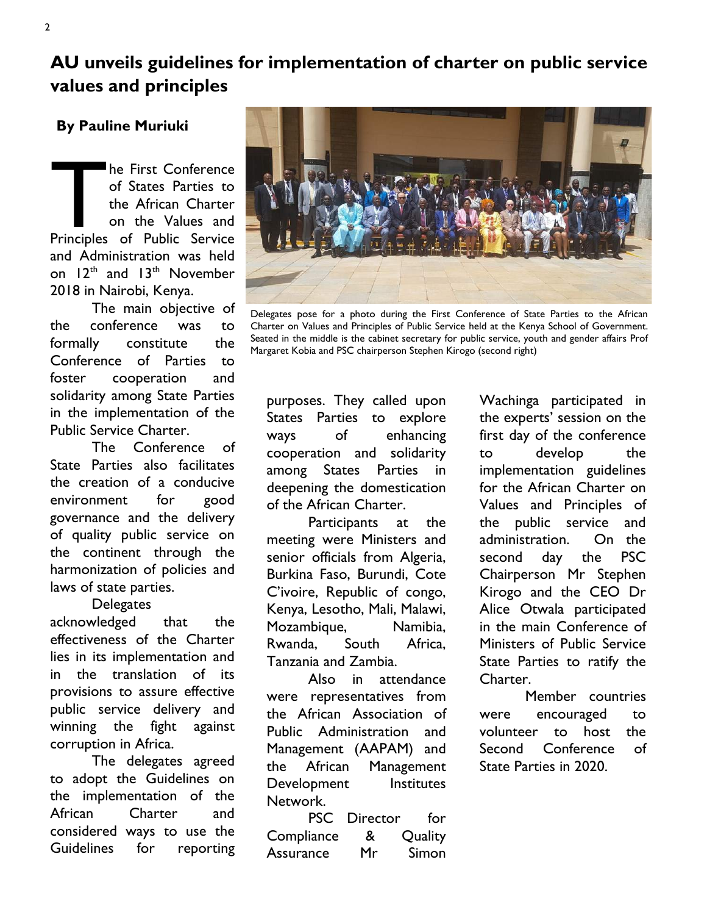**AU unveils guidelines for implementation of charter on public service values and principles** 

## **By Pauline Muriuki**

The First Conference<br>
of States Parties to<br>
the African Charter<br>
on the Values and<br>
Principles of Public Service he First Conference of States Parties to the African Charter on the Values and and Administration was held on  $12<sup>th</sup>$  and  $13<sup>th</sup>$  November 2018 in Nairobi, Kenya.

The main objective of the conference was to formally constitute the Conference of Parties to foster cooperation and solidarity among State Parties in the implementation of the Public Service Charter.

The Conference of State Parties also facilitates the creation of a conducive environment for good governance and the delivery of quality public service on the continent through the harmonization of policies and laws of state parties.

**Delegates** 

acknowledged that the effectiveness of the Charter lies in its implementation and in the translation of its provisions to assure effective public service delivery and winning the fight against corruption in Africa.

The delegates agreed to adopt the Guidelines on the implementation of the African Charter and considered ways to use the Guidelines for reporting



Delegates pose for a photo during the First Conference of State Parties to the African Charter on Values and Principles of Public Service held at the Kenya School of Government. Seated in the middle is the cabinet secretary for public service, youth and gender affairs Prof Margaret Kobia and PSC chairperson Stephen Kirogo (second right)

purposes. They called upon States Parties to explore ways of enhancing cooperation and solidarity among States Parties in deepening the domestication of the African Charter.

Participants at the meeting were Ministers and senior officials from Algeria, Burkina Faso, Burundi, Cote C'ivoire, Republic of congo, Kenya, Lesotho, Mali, Malawi, Mozambique, Namibia, Rwanda, South Africa, Tanzania and Zambia.

Also in attendance were representatives from the African Association of Public Administration and Management (AAPAM) and the African Management Development Institutes Network.

PSC Director for Compliance & Quality Assurance Mr Simon

Wachinga participated in the experts' session on the first day of the conference to develop the implementation guidelines for the African Charter on Values and Principles of the public service and administration. On the second day the PSC Chairperson Mr Stephen Kirogo and the CEO Dr Alice Otwala participated in the main Conference of Ministers of Public Service State Parties to ratify the Charter.

Member countries were encouraged to volunteer to host the Second Conference of State Parties in 2020.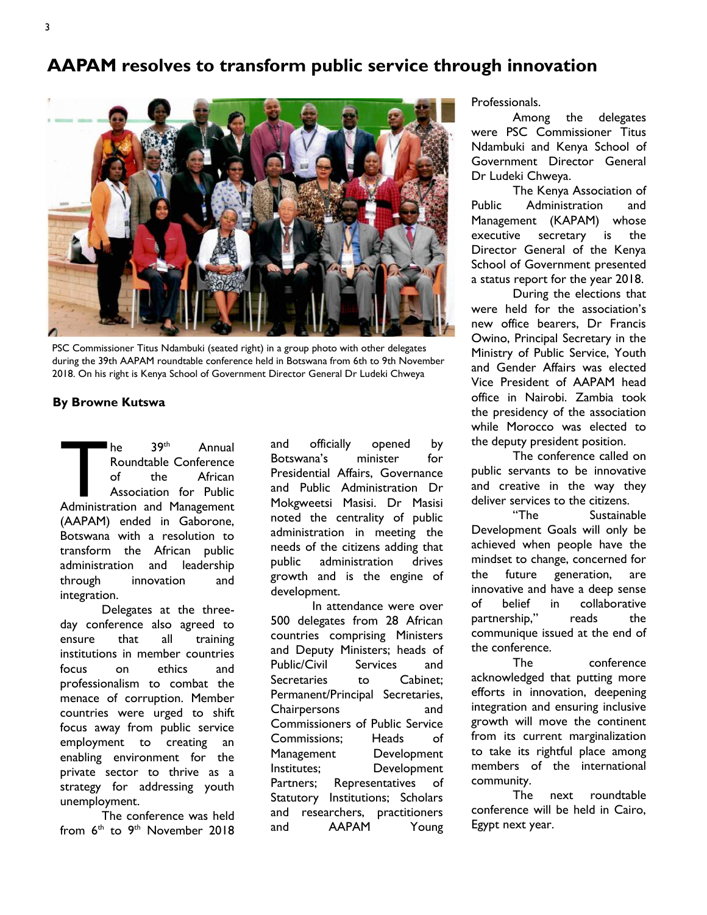# **AAPAM resolves to transform public service through innovation**



PSC Commissioner Titus Ndambuki (seated right) in a group photo with other delegates during the 39th AAPAM roundtable conference held in Botswana from 6th to 9th November 2018. On his right is Kenya School of Government Director General Dr Ludeki Chweya

#### **By Browne Kutswa**

The 39<sup>th</sup> Annual<br>
Roundtable Conference<br>
of the African<br>
Association for Public<br>
Administration and Management he 39th Annual Roundtable Conference of the African Association for Public (AAPAM) ended in Gaborone, Botswana with a resolution to transform the African public administration and leadership through innovation and integration.

Delegates at the threeday conference also agreed to ensure that all training institutions in member countries focus on ethics and professionalism to combat the menace of corruption. Member countries were urged to shift focus away from public service employment to creating an enabling environment for the private sector to thrive as a strategy for addressing youth unemployment.

The conference was held from 6<sup>th</sup> to 9<sup>th</sup> November 2018

and officially opened by Botswana's minister for Presidential Affairs, Governance and Public Administration Dr Mokgweetsi Masisi. Dr Masisi noted the centrality of public administration in meeting the needs of the citizens adding that public administration drives growth and is the engine of development.

In attendance were over 500 delegates from 28 African countries comprising Ministers and Deputy Ministers; heads of Public/Civil Services and Secretaries to Cabinet: Permanent/Principal Secretaries, Chairpersons and Commissioners of Public Service Commissions; Heads of Management Development Institutes; Development Partners; Representatives of Statutory Institutions; Scholars and researchers, practitioners and AAPAM Young Professionals.

Among the delegates were PSC Commissioner Titus Ndambuki and Kenya School of Government Director General Dr Ludeki Chweya.

The Kenya Association of Public Administration and Management (KAPAM) whose executive secretary is the Director General of the Kenya School of Government presented a status report for the year 2018.

During the elections that were held for the association's new office bearers, Dr Francis Owino, Principal Secretary in the Ministry of Public Service, Youth and Gender Affairs was elected Vice President of AAPAM head office in Nairobi. Zambia took the presidency of the association while Morocco was elected to the deputy president position.

The conference called on public servants to be innovative and creative in the way they deliver services to the citizens.

"The Sustainable Development Goals will only be achieved when people have the mindset to change, concerned for the future generation, are innovative and have a deep sense of belief in collaborative partnership," reads the communique issued at the end of the conference.

The conference acknowledged that putting more efforts in innovation, deepening integration and ensuring inclusive growth will move the continent from its current marginalization to take its rightful place among members of the international community.

The next roundtable conference will be held in Cairo, Egypt next year.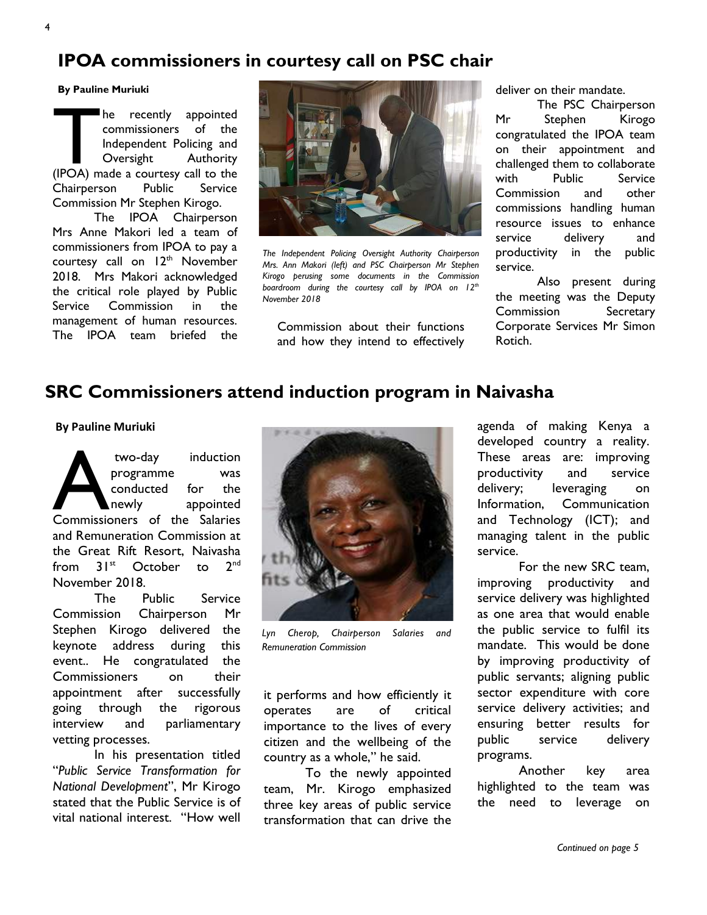# **IPOA commissioners in courtesy call on PSC chair**

#### **By Pauline Muriuki**

The recently appointed<br>
commissioners of the<br>
Independent Policing and<br>
Oversight Authority<br>
(IPOA) made a courtesy call to the he recently appointed commissioners of the Independent Policing and Oversight Authority Chairperson Public Service Commission Mr Stephen Kirogo.

The IPOA Chairperson Mrs Anne Makori led a team of commissioners from IPOA to pay a courtesy call on 12<sup>th</sup> November 2018. Mrs Makori acknowledged the critical role played by Public Service Commission in the management of human resources.



*The Independent Policing Oversight Authority Chairperson Mrs. Ann Makori (left) and PSC Chairperson Mr Stephen Kirogo perusing some documents in the Commission boardroom during the courtesy call by IPOA on 12th November 2018*

management of numan resources.<br>The IPOA team briefed the the the state of the functions and how they intend to effectively deliver on their mandate.

The PSC Chairperson Mr Stephen Kirogo congratulated the IPOA team on their appointment and challenged them to collaborate with Public Service Commission and other commissions handling human resource issues to enhance service delivery and productivity in the public service.

Also present during the meeting was the Deputy Commission Secretary Corporate Services Mr Simon Rotich.

# **SRC Commissioners attend induction program in Naivasha**

**By Pauline Muriuki**

two-day induction<br>programme was<br>conducted for the<br>Commissioners of the Salaries two-day induction programme was conducted for the newly appointed and Remuneration Commission at the Great Rift Resort, Naivasha from  $31^{st}$  October to  $2^{nd}$ November 2018.

The Public Service Commission Chairperson Mr Stephen Kirogo delivered the keynote address during this event.. He congratulated the Commissioners on their appointment after successfully going through the rigorous interview and parliamentary vetting processes.

In his presentation titled "*Public Service Transformation for National Development*", Mr Kirogo stated that the Public Service is of vital national interest. "How well



*Lyn Cherop, Chairperson Salaries and Remuneration Commission* 

it performs and how efficiently it operates are of critical importance to the lives of every citizen and the wellbeing of the country as a whole," he said.

To the newly appointed team, Mr. Kirogo emphasized three key areas of public service transformation that can drive the

agenda of making Kenya a developed country a reality. These areas are: improving productivity and service delivery; leveraging on Information, Communication and Technology (ICT); and managing talent in the public service.

For the new SRC team, improving productivity and service delivery was highlighted as one area that would enable the public service to fulfil its mandate. This would be done by improving productivity of public servants; aligning public sector expenditure with core service delivery activities; and ensuring better results for public service delivery programs.

Another key area highlighted to the team was the need to leverage on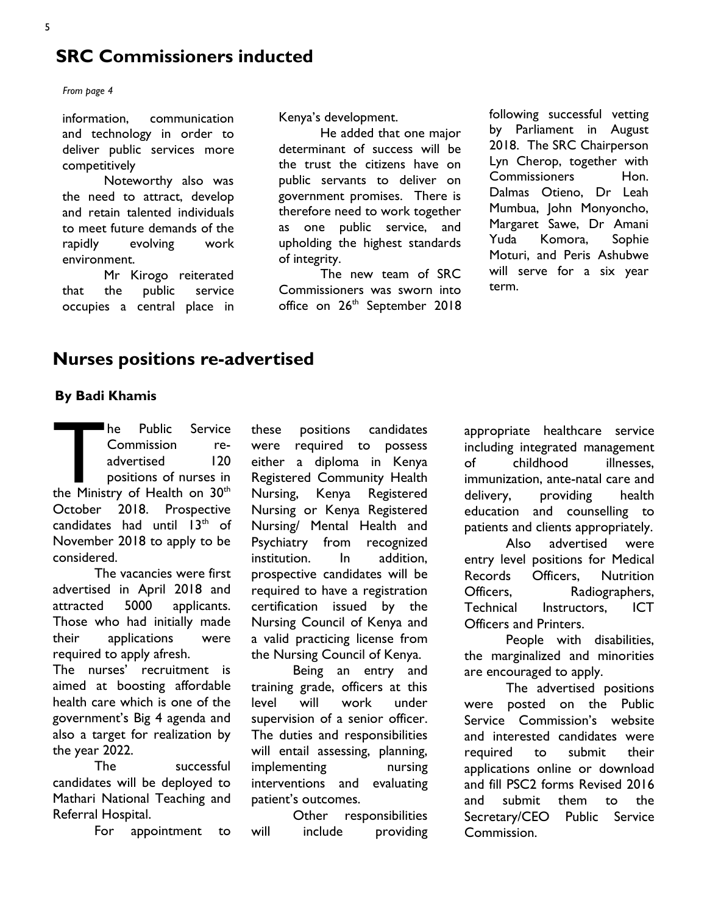# **SRC Commissioners inducted**

*From page 4*

information, communication and technology in order to deliver public services more competitively

Noteworthy also was the need to attract, develop and retain talented individuals to meet future demands of the rapidly evolving work environment.

Mr Kirogo reiterated that the public service occupies a central place in Kenya's development.

He added that one major determinant of success will be the trust the citizens have on public servants to deliver on government promises. There is therefore need to work together as one public service, and upholding the highest standards of integrity.

The new team of SRC Commissioners was sworn into office on 26<sup>th</sup> September 2018 following successful vetting by Parliament in August 2018. The SRC Chairperson Lyn Cherop, together with Commissioners Hon. Dalmas Otieno, Dr Leah Mumbua, John Monyoncho, Margaret Sawe, Dr Amani Yuda Komora, Sophie Moturi, and Peris Ashubwe will serve for a six year term.

# **Nurses positions re-advertised**

#### **By Badi Khamis**

The Public Service<br>
Commission re-<br>
advertised 120<br>
positions of nurses in<br>
the Ministry of Health on 30<sup>th</sup> he Public Service Commission readvertised 120 positions of nurses in October 2018. Prospective candidates had until  $13<sup>th</sup>$  of November 2018 to apply to be considered.

The vacancies were first advertised in April 2018 and attracted 5000 applicants. Those who had initially made their applications were required to apply afresh.

The nurses' recruitment is aimed at boosting affordable health care which is one of the government's Big 4 agenda and also a target for realization by the year 2022.

The successful candidates will be deployed to Mathari National Teaching and Referral Hospital.

For appointment to

these positions candidates were required to possess either a diploma in Kenya Registered Community Health Nursing, Kenya Registered Nursing or Kenya Registered Nursing/ Mental Health and Psychiatry from recognized institution. In addition, prospective candidates will be required to have a registration certification issued by the Nursing Council of Kenya and a valid practicing license from the Nursing Council of Kenya.

Being an entry and training grade, officers at this level will work under supervision of a senior officer. The duties and responsibilities will entail assessing, planning, implementing nursing interventions and evaluating patient's outcomes.

Other responsibilities will include providing appropriate healthcare service including integrated management of childhood illnesses, immunization, ante-natal care and delivery, providing health education and counselling to patients and clients appropriately. Also advertised were entry level positions for Medical Records Officers, Nutrition Officers, Radiographers, Technical Instructors, ICT Officers and Printers.

People with disabilities, the marginalized and minorities are encouraged to apply.

The advertised positions were posted on the Public Service Commission's website and interested candidates were required to submit their applications online or download and fill PSC2 forms Revised 2016 and submit them to the Secretary/CEO Public Service Commission.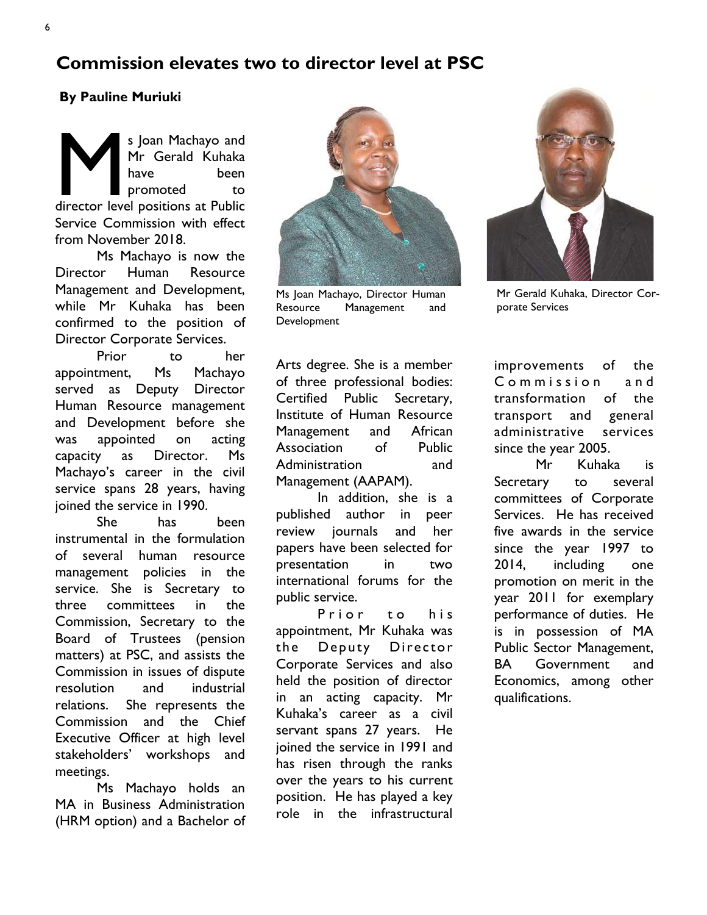# **Commission elevates two to director level at PSC**

## **By Pauline Muriuki**

s Joan Machayo and<br>Mr Gerald Kuhaka<br>have been<br>director level positions at Public s Joan Machayo and Mr Gerald Kuhaka have been promoted to Service Commission with effect from November 2018.

Ms Machayo is now the Director Human Resource Management and Development, while Mr Kuhaka has been confirmed to the position of Director Corporate Services.

Prior to her appointment, Ms Machayo served as Deputy Director Human Resource management and Development before she was appointed on acting capacity as Director. Ms Machayo's career in the civil service spans 28 years, having joined the service in 1990.

She has been instrumental in the formulation of several human resource management policies in the service. She is Secretary to three committees in the Commission, Secretary to the Board of Trustees (pension matters) at PSC, and assists the Commission in issues of dispute resolution and industrial relations. She represents the Commission and the Chief Executive Officer at high level stakeholders' workshops and meetings.

Ms Machayo holds an MA in Business Administration (HRM option) and a Bachelor of



Ms Joan Machayo, Director Human Resource Management and **Development** 

Arts degree. She is a member of three professional bodies: Certified Public Secretary, Institute of Human Resource Management and African Association of Public Administration and Management (AAPAM).

In addition, she is a published author in peer review journals and her papers have been selected for presentation in two international forums for the public service.

Prior to his appointment, Mr Kuhaka was the Deputy Director Corporate Services and also held the position of director in an acting capacity. Mr Kuhaka's career as a civil servant spans 27 years. He joined the service in 1991 and has risen through the ranks over the years to his current position. He has played a key role in the infrastructural



Mr Gerald Kuhaka, Director Corporate Services

improvements of the Commission and transformation of the transport and general administrative services since the year 2005.

Mr Kuhaka is Secretary to several committees of Corporate Services. He has received five awards in the service since the year 1997 to 2014, including one promotion on merit in the year 2011 for exemplary performance of duties. He is in possession of MA Public Sector Management, BA Government and Economics, among other qualifications.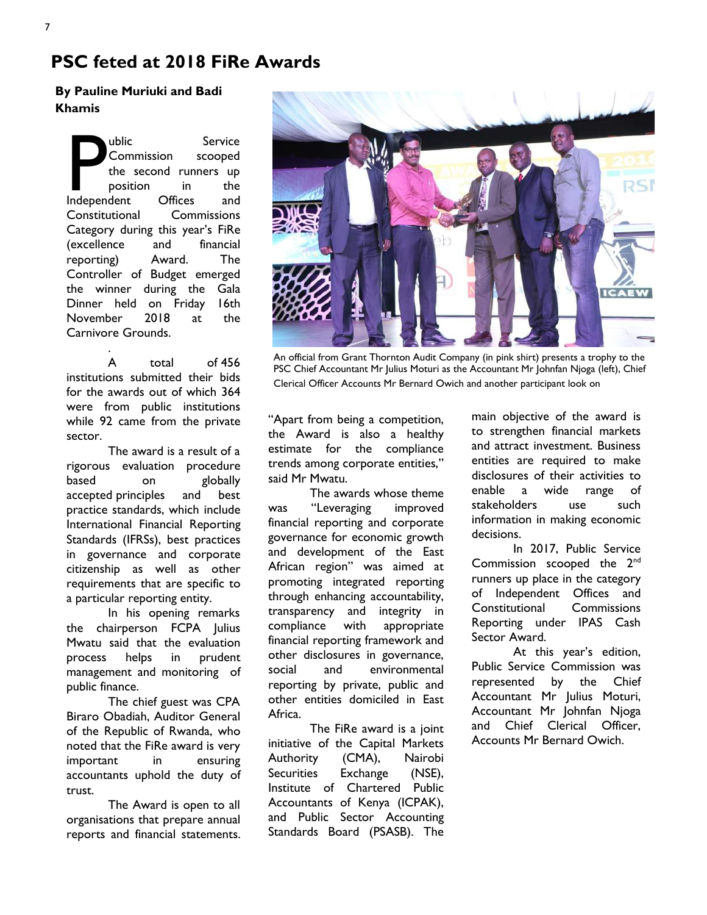# **PSC feted at 2018 FiRe Awards**

## **By Pauline Muriuki and Badi Khamis**

Whic Service<br>
Commission scooped<br>
the second runners up<br>
position in the<br>
Independent Offices and ublic Service Commission scooped the second runners up position in the Constitutional Commissions Category during this year's FiRe (excellence and financial reporting) Award. The Controller of Budget emerged the winner during the Gala Dinner held on Friday 16th November 2018 at the Carnivore Grounds.

. A total of 456 institutions submitted their bids for the awards out of which 364 were from public institutions while 92 came from the private sector.

The award is a result of a rigorous evaluation procedure based on globally accepted principles and best practice standards, which include International Financial Reporting Standards (IFRSs), best practices in governance and corporate citizenship as well as other requirements that are specific to a particular reporting entity.

In his opening remarks the chairperson FCPA Julius Mwatu said that the evaluation process helps in prudent management and monitoring of public finance.

The chief guest was CPA Biraro Obadiah, Auditor General of the Republic of Rwanda, who noted that the FiRe award is very important in ensuring accountants uphold the duty of trust.

The Award is open to all organisations that prepare annual reports and financial statements.



An official from Grant Thornton Audit Company (in pink shirt) presents a trophy to the PSC Chief Accountant Mr Julius Moturi as the Accountant Mr Johnfan Njoga (left), Chief Clerical Officer Accounts Mr Bernard Owich and another participant look on

"Apart from being a competition, the Award is also a healthy estimate for the compliance trends among corporate entities," said Mr Mwatu.

The awards whose theme was "Leveraging improved financial reporting and corporate governance for economic growth and development of the East African region" was aimed at promoting integrated reporting through enhancing accountability, transparency and integrity in compliance with appropriate financial reporting framework and other disclosures in governance, social and environmental reporting by private, public and other entities domiciled in East Africa.

The FiRe award is a joint initiative of the Capital Markets Authority (CMA), Nairobi Securities Exchange (NSE), Institute of Chartered Public Accountants of Kenya (ICPAK), and Public Sector Accounting Standards Board (PSASB). The main objective of the award is to strengthen financial markets and attract investment. Business entities are required to make disclosures of their activities to enable a wide range of stakeholders use such information in making economic decisions.

In 2017, Public Service Commission scooped the 2<sup>nd</sup> runners up place in the category of Independent Offices and Constitutional Commissions Reporting under IPAS Cash Sector Award.

At this year's edition, Public Service Commission was represented by the Chief Accountant Mr Julius Moturi, Accountant Mr Johnfan Njoga and Chief Clerical Officer, Accounts Mr Bernard Owich.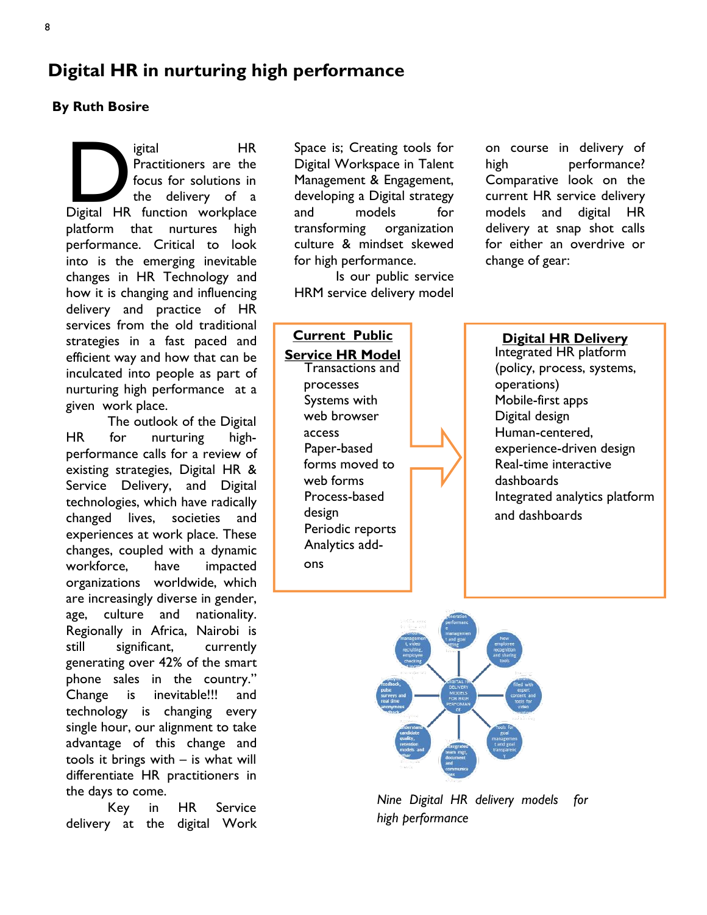# **Digital HR in nurturing high performance**

## **By Ruth Bosire**

igital HR<br>Practitioners are the<br>focus for solutions in<br>the delivery of a<br>Digital HR function workplace igital HR Practitioners are the focus for solutions in the delivery of a platform that nurtures high performance. Critical to look into is the emerging inevitable changes in HR Technology and how it is changing and influencing delivery and practice of HR services from the old traditional strategies in a fast paced and efficient way and how that can be inculcated into people as part of nurturing high performance at a given work place.

The outlook of the Digital HR for nurturing highperformance calls for a review of existing strategies, Digital HR & Service Delivery, and Digital technologies, which have radically changed lives, societies and experiences at work place. These changes, coupled with a dynamic workforce, have impacted organizations worldwide, which are increasingly diverse in gender, age, culture and nationality. Regionally in Africa, Nairobi is still significant, currently generating over 42% of the smart phone sales in the country." Change is inevitable!!! and technology is changing every single hour, our alignment to take advantage of this change and tools it brings with – is what will differentiate HR practitioners in the days to come.

Key in HR Service delivery at the digital Work

Space is; Creating tools for Digital Workspace in Talent Management & Engagement, developing a Digital strategy and models for transforming organization culture & mindset skewed for high performance.

Is our public service HRM service delivery model

**Current Public Service HR Model** Transactions and processes Systems with web browser access Paper-based forms moved to web forms Process-based design Periodic reports Analytics addons

on course in delivery of high performance? Comparative look on the current HR service delivery models and digital HR delivery at snap shot calls for either an overdrive or change of gear:

## **Digital HR Delivery** Integrated HR platform (policy, process, systems, operations) Mobile-first apps Digital design Human-centered, experience-driven design Real-time interactive dashboards Integrated analytics platform and dashboards



*Nine Digital HR delivery models for high performance*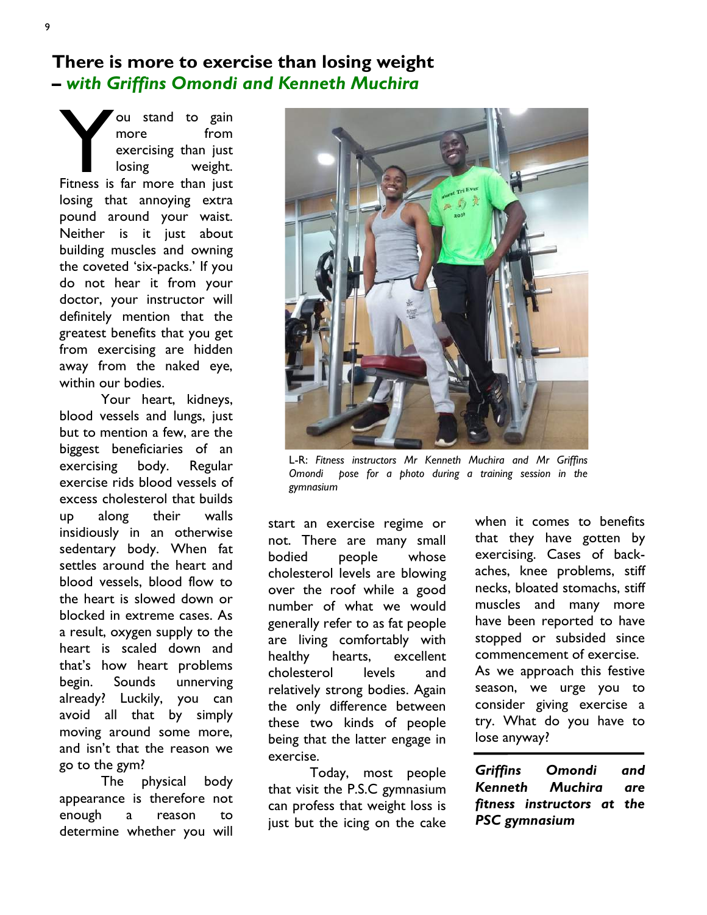# **There is more to exercise than losing weight –** *with Griffins Omondi and Kenneth Muchira*

Vou stand to gain<br>
more from<br>
exercising than just<br>
losing weight.<br>
Fitness is far more than just ou stand to gain more from exercising than just losing weight. losing that annoying extra pound around your waist. Neither is it just about building muscles and owning the coveted 'six-packs.' If you do not hear it from your doctor, your instructor will definitely mention that the greatest benefits that you get from exercising are hidden away from the naked eye, within our bodies.

Your heart, kidneys, blood vessels and lungs, just but to mention a few, are the biggest beneficiaries of an exercising body. Regular exercise rids blood vessels of excess cholesterol that builds up along their walls insidiously in an otherwise sedentary body. When fat settles around the heart and blood vessels, blood flow to the heart is slowed down or blocked in extreme cases. As a result, oxygen supply to the heart is scaled down and that's how heart problems begin. Sounds unnerving already? Luckily, you can avoid all that by simply moving around some more, and isn't that the reason we go to the gym?

The physical body appearance is therefore not enough a reason to determine whether you will



L-R: *Fitness instructors Mr Kenneth Muchira and Mr Griffins Omondi pose for a photo during a training session in the gymnasium*

start an exercise regime or not. There are many small bodied people whose cholesterol levels are blowing over the roof while a good number of what we would generally refer to as fat people are living comfortably with healthy hearts, excellent cholesterol levels and relatively strong bodies. Again the only difference between these two kinds of people being that the latter engage in exercise.

Today, most people that visit the P.S.C gymnasium can profess that weight loss is just but the icing on the cake

when it comes to benefits that they have gotten by exercising. Cases of backaches, knee problems, stiff necks, bloated stomachs, stiff muscles and many more have been reported to have stopped or subsided since commencement of exercise. As we approach this festive season, we urge you to consider giving exercise a try. What do you have to lose anyway?

*Griffins Omondi and Kenneth Muchira are fitness instructors at the PSC gymnasium*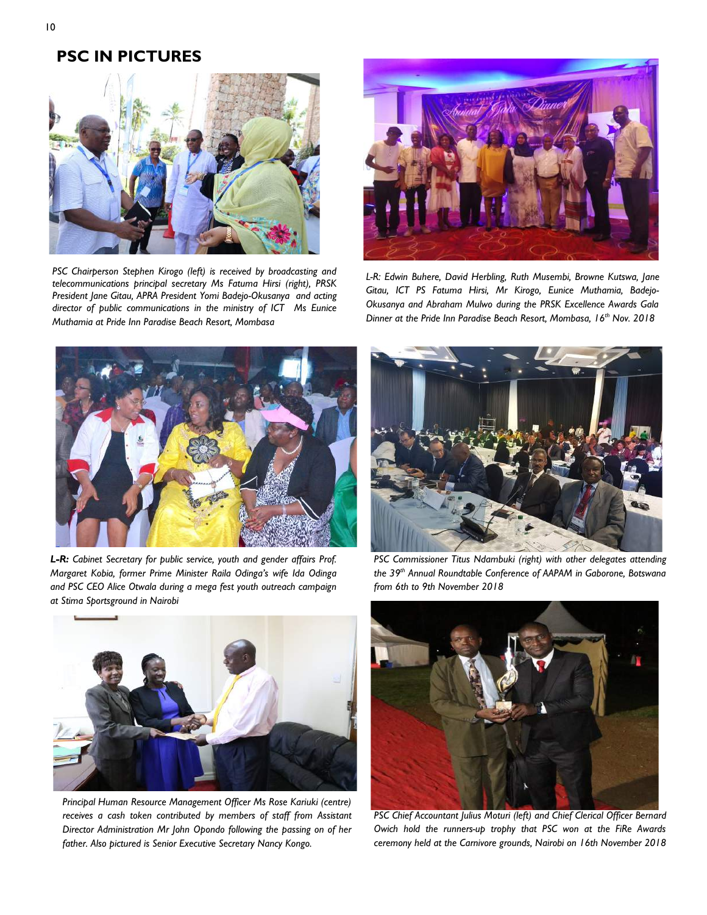## **PSC IN PICTURES**



*PSC Chairperson Stephen Kirogo (left) is received by broadcasting and telecommunications principal secretary Ms Fatuma Hirsi (right), PRSK President Jane Gitau, APRA President Yomi Badejo-Okusanya and acting director of public communications in the ministry of ICT Ms Eunice Muthamia at Pride Inn Paradise Beach Resort, Mombasa* 



*L-R: Edwin Buhere, David Herbling, Ruth Musembi, Browne Kutswa, Jane Gitau, ICT PS Fatuma Hirsi, Mr Kirogo, Eunice Muthamia, Badejo-Okusanya and Abraham Mulwo during the PRSK Excellence Awards Gala Dinner at the Pride Inn Paradise Beach Resort, Mombasa, 16th Nov. 2018*



*L-R: Cabinet Secretary for public service, youth and gender affairs Prof. Margaret Kobia, former Prime Minister Raila Odinga's wife Ida Odinga and PSC CEO Alice Otwala during a mega fest youth outreach campaign at Stima Sportsground in Nairobi*



*PSC Commissioner Titus Ndambuki (right) with other delegates attending the 39th Annual Roundtable Conference of AAPAM in Gaborone, Botswana from 6th to 9th November 2018*



*Principal Human Resource Management Officer Ms Rose Kariuki (centre) receives a cash token contributed by members of staff from Assistant Director Administration Mr John Opondo following the passing on of her father. Also pictured is Senior Executive Secretary Nancy Kongo.*



**PSC Chief Accountant Julius Moturi (left) and Chief Clerical Officer Bernard** *Owich hold the runners-up trophy that PSC won at the FiRe Awards ceremony held at the Carnivore grounds, Nairobi on 16th November 2018*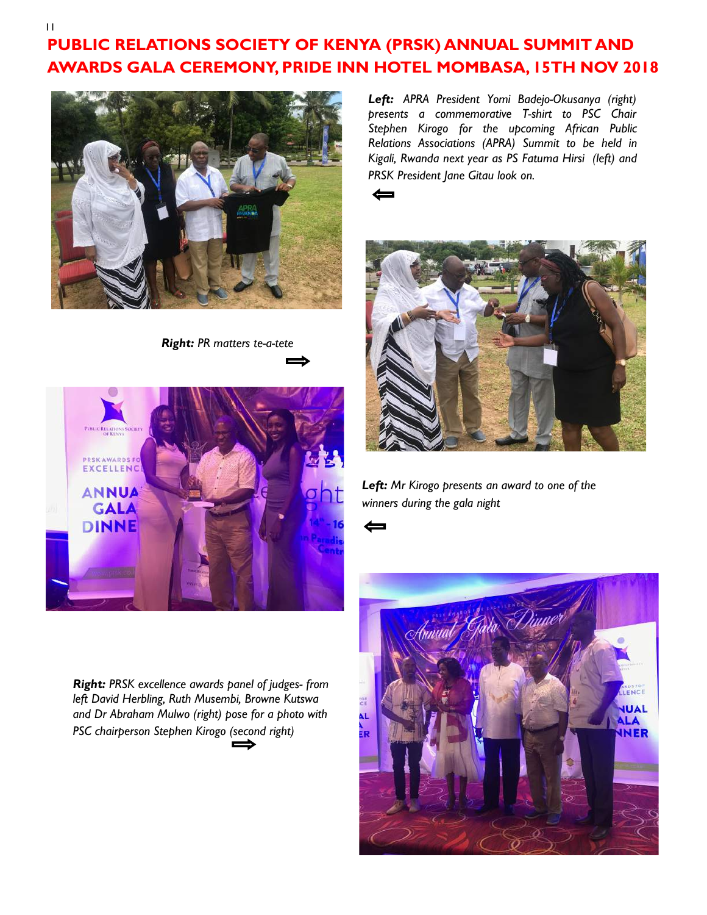# **PUBLIC RELATIONS SOCIETY OF KENYA (PRSK) ANNUAL SUMMIT AND AWARDS GALA CEREMONY, PRIDE INN HOTEL MOMBASA, 15TH NOV 2018**



*Right: PR matters te-a-tete* 



*Right: PRSK excellence awards panel of judges- from left David Herbling, Ruth Musembi, Browne Kutswa and Dr Abraham Mulwo (right) pose for a photo with PSC chairperson Stephen Kirogo (second right)* 

*Left: APRA President Yomi Badejo-Okusanya (right) presents a commemorative T-shirt to PSC Chair Stephen Kirogo for the upcoming African Public Relations Associations (APRA) Summit to be held in Kigali, Rwanda next year as PS Fatuma Hirsi (left) and PRSK President Jane Gitau look on.*





*Left: Mr Kirogo presents an award to one of the winners during the gala night*